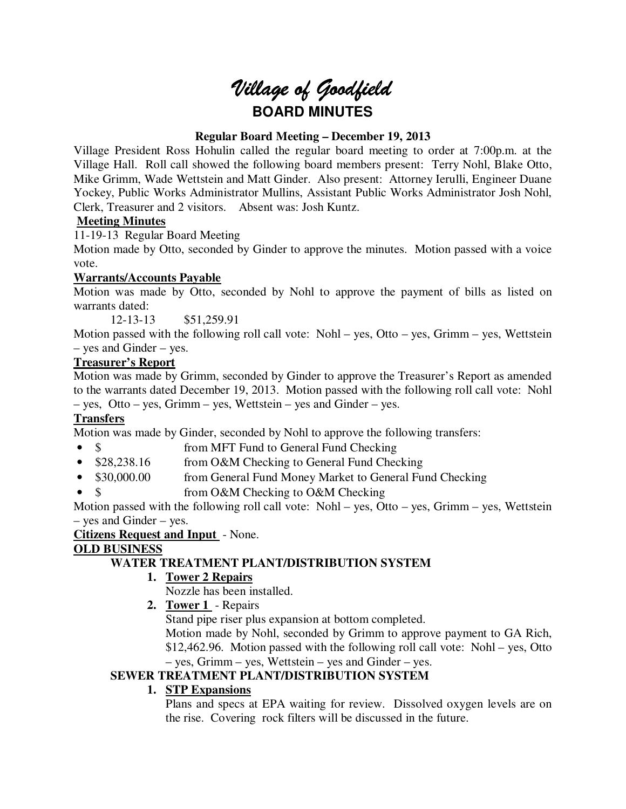# *Village of Goodfield* **BOARD MINUTES**

# **Regular Board Meeting – December 19, 2013**

Village President Ross Hohulin called the regular board meeting to order at 7:00p.m. at the Village Hall. Roll call showed the following board members present: Terry Nohl, Blake Otto, Mike Grimm, Wade Wettstein and Matt Ginder. Also present: Attorney Ierulli, Engineer Duane Yockey, Public Works Administrator Mullins, Assistant Public Works Administrator Josh Nohl, Clerk, Treasurer and 2 visitors. Absent was: Josh Kuntz.

# **Meeting Minutes**

11-19-13 Regular Board Meeting

Motion made by Otto, seconded by Ginder to approve the minutes. Motion passed with a voice vote.

# **Warrants/Accounts Payable**

Motion was made by Otto, seconded by Nohl to approve the payment of bills as listed on warrants dated:

12-13-13 \$51,259.91

Motion passed with the following roll call vote: Nohl – yes, Otto – yes, Grimm – yes, Wettstein – yes and Ginder – yes.

## **Treasurer's Report**

Motion was made by Grimm, seconded by Ginder to approve the Treasurer's Report as amended to the warrants dated December 19, 2013. Motion passed with the following roll call vote: Nohl – yes, Otto – yes, Grimm – yes, Wettstein – yes and Ginder – yes.

# **Transfers**

Motion was made by Ginder, seconded by Nohl to approve the following transfers:

- \$ from MFT Fund to General Fund Checking
- \$28,238.16 from O&M Checking to General Fund Checking
- \$30,000.00 from General Fund Money Market to General Fund Checking
- \$ from O&M Checking to O&M Checking

Motion passed with the following roll call vote: Nohl – yes, Otto – yes, Grimm – yes, Wettstein – yes and Ginder – yes.

**Citizens Request and Input** - None.

# **OLD BUSINESS**

# **WATER TREATMENT PLANT/DISTRIBUTION SYSTEM**

# **1. Tower 2 Repairs**

Nozzle has been installed.

**2. Tower 1** - Repairs

Stand pipe riser plus expansion at bottom completed.

Motion made by Nohl, seconded by Grimm to approve payment to GA Rich, \$12,462.96. Motion passed with the following roll call vote: Nohl – yes, Otto – yes, Grimm – yes, Wettstein – yes and Ginder – yes.

# **SEWER TREATMENT PLANT/DISTRIBUTION SYSTEM**

# **1. STP Expansions**

Plans and specs at EPA waiting for review. Dissolved oxygen levels are on the rise. Covering rock filters will be discussed in the future.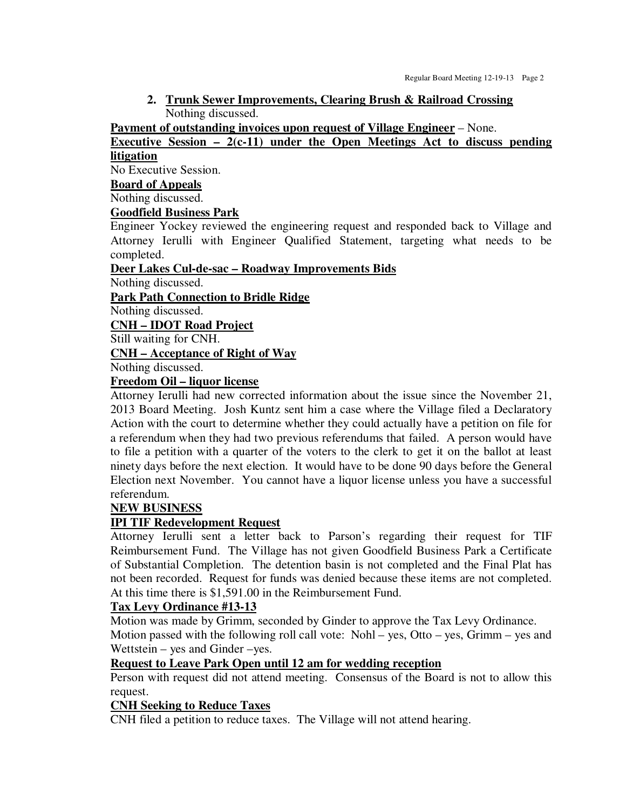#### **2. Trunk Sewer Improvements, Clearing Brush & Railroad Crossing**  Nothing discussed.

**Payment of outstanding invoices upon request of Village Engineer** – None.

#### **Executive Session – 2(c-11) under the Open Meetings Act to discuss pending litigation**

No Executive Session.

#### **Board of Appeals**

Nothing discussed.

#### **Goodfield Business Park**

Engineer Yockey reviewed the engineering request and responded back to Village and Attorney Ierulli with Engineer Qualified Statement, targeting what needs to be completed.

**Deer Lakes Cul-de-sac – Roadway Improvements Bids** 

Nothing discussed.

**Park Path Connection to Bridle Ridge** 

Nothing discussed.

## **CNH – IDOT Road Project**

Still waiting for CNH.

#### **CNH – Acceptance of Right of Way**

Nothing discussed.

#### **Freedom Oil – liquor license**

Attorney Ierulli had new corrected information about the issue since the November 21, 2013 Board Meeting. Josh Kuntz sent him a case where the Village filed a Declaratory Action with the court to determine whether they could actually have a petition on file for a referendum when they had two previous referendums that failed. A person would have to file a petition with a quarter of the voters to the clerk to get it on the ballot at least ninety days before the next election. It would have to be done 90 days before the General Election next November. You cannot have a liquor license unless you have a successful referendum.

#### **NEW BUSINESS**

#### **IPI TIF Redevelopment Request**

Attorney Ierulli sent a letter back to Parson's regarding their request for TIF Reimbursement Fund. The Village has not given Goodfield Business Park a Certificate of Substantial Completion. The detention basin is not completed and the Final Plat has not been recorded. Request for funds was denied because these items are not completed. At this time there is \$1,591.00 in the Reimbursement Fund.

### **Tax Levy Ordinance #13-13**

Motion was made by Grimm, seconded by Ginder to approve the Tax Levy Ordinance. Motion passed with the following roll call vote: Nohl – yes, Otto – yes, Grimm – yes and Wettstein – yes and Ginder –yes.

## **Request to Leave Park Open until 12 am for wedding reception**

Person with request did not attend meeting. Consensus of the Board is not to allow this request.

#### **CNH Seeking to Reduce Taxes**

CNH filed a petition to reduce taxes. The Village will not attend hearing.